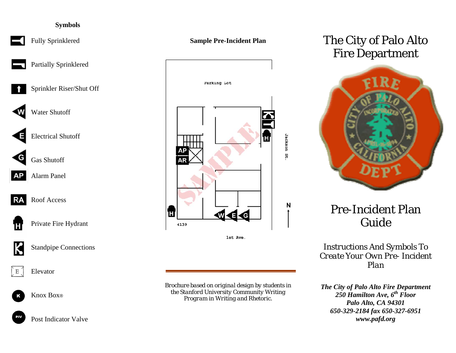# **Symbols**



Fully Sprinklered

Partially Sprinklered

Sprinkler Riser/Shut Off



WWW Water Shutoff

Electrical Shutoff



**AP** Alarm Panel



**RA** Roof Access



**Private Fire Hydrant** 



Standpipe Connections



Knox Box®



Post Indicator Valve





1st Ave.

*Brochure based on original design by students in the Stanford University Community Writing Program in Writing and Rhetoric.*

# The City of Palo Alto Fire Department



# Pre-Incident Plan Guide

*Instructions And Symbols To Create Your Own Pre- Incident Plan* 

*The City of Palo Alto Fire Department*  250 Hamilton Ave,  $6^{th}$  Floor *Palo Alto, CA 94301 650-329-2184 fax 650-327-6951 www.pafd.org*